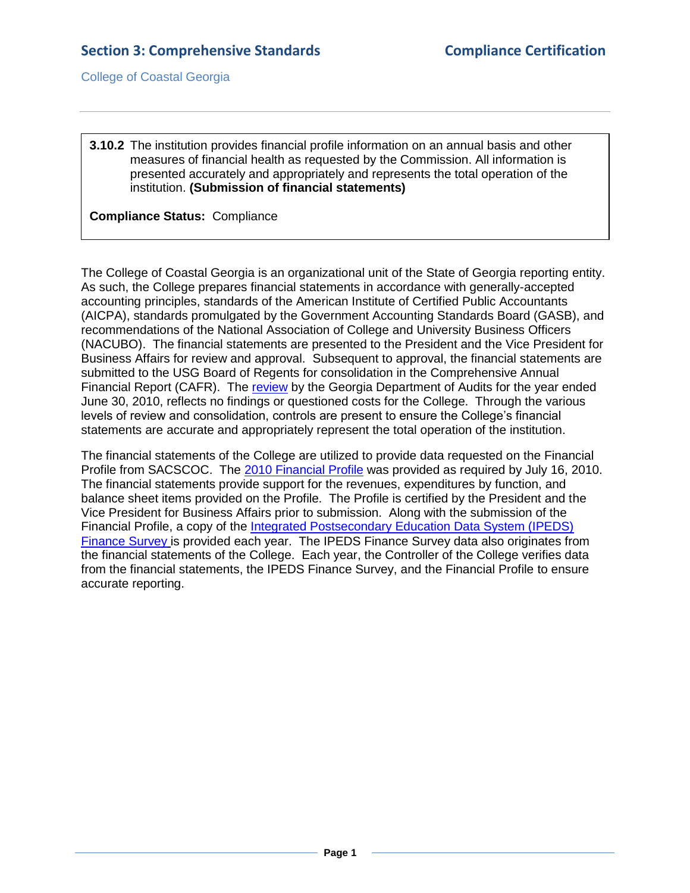College of Coastal Georgia

## **3.10.2** The institution provides financial profile information on an annual basis and other measures of financial health as requested by the Commission. All information is presented accurately and appropriately and represents the total operation of the institution. **(Submission of financial statements)**

## **Compliance Status:** Compliance

The College of Coastal Georgia is an organizational unit of the State of Georgia reporting entity. As such, the College prepares financial statements in accordance with generally-accepted accounting principles, standards of the American Institute of Certified Public Accountants (AICPA), standards promulgated by the Government Accounting Standards Board (GASB), and recommendations of the National Association of College and University Business Officers (NACUBO). The financial statements are presented to the President and the Vice President for Business Affairs for review and approval. Subsequent to approval, the financial statements are submitted to the USG Board of Regents for consolidation in the Comprehensive Annual Financial Report (CAFR). The [review](2.11.1.bIndAcctsMgmt.pdf#page=1) by the Georgia Department of Audits for the year ended June 30, 2010, reflects no findings or questioned costs for the College. Through the various levels of review and consolidation, controls are present to ensure the College's financial statements are accurate and appropriately represent the total operation of the institution.

The financial statements of the College are utilized to provide data requested on the Financial Profile from SACSCOC. The [2010 Financial Profile](3.10.2.bSACSCOCFinanceProfile.pdf#page=1) was provided as required by July 16, 2010. The financial statements provide support for the revenues, expenditures by function, and balance sheet items provided on the Profile. The Profile is certified by the President and the Vice President for Business Affairs prior to submission. Along with the submission of the Financial Profile, a copy of the [Integrated Postsecondary Education Data System \(IPEDS\)](3.10.2.cIPEDsFinanceSurvey.pdf#page=1)  [Finance Survey](3.10.2.cIPEDsFinanceSurvey.pdf#page=1) is provided each year. The IPEDS Finance Survey data also originates from the financial statements of the College. Each year, the Controller of the College verifies data from the financial statements, the IPEDS Finance Survey, and the Financial Profile to ensure accurate reporting.